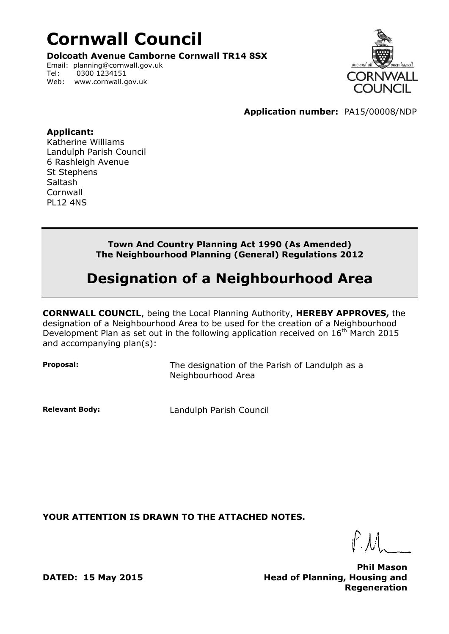## **Cornwall Council**

**Dolcoath Avenue Camborne Cornwall TR14 8SX**

Email: planning@cornwall.gov.uk Tel: 0300 1234151 Web: www.cornwall.gov.uk



**Application number:** PA15/00008/NDP

## **Applicant:**

Katherine Williams Landulph Parish Council 6 Rashleigh Avenue St Stephens Saltash **Cornwall** PL12 4NS

> **Town And Country Planning Act 1990 (As Amended) The Neighbourhood Planning (General) Regulations 2012**

## **Designation of a Neighbourhood Area**

**CORNWALL COUNCIL**, being the Local Planning Authority, **HEREBY APPROVES,** the designation of a Neighbourhood Area to be used for the creation of a Neighbourhood Development Plan as set out in the following application received on  $16^{th}$  March 2015 and accompanying plan(s):

**Proposal:** The designation of the Parish of Landulph as a Neighbourhood Area

**Relevant Body:** Landulph Parish Council

**YOUR ATTENTION IS DRAWN TO THE ATTACHED NOTES.**

**Phil Mason Head of Planning, Housing and Regeneration**

**DATED: 15 May 2015**